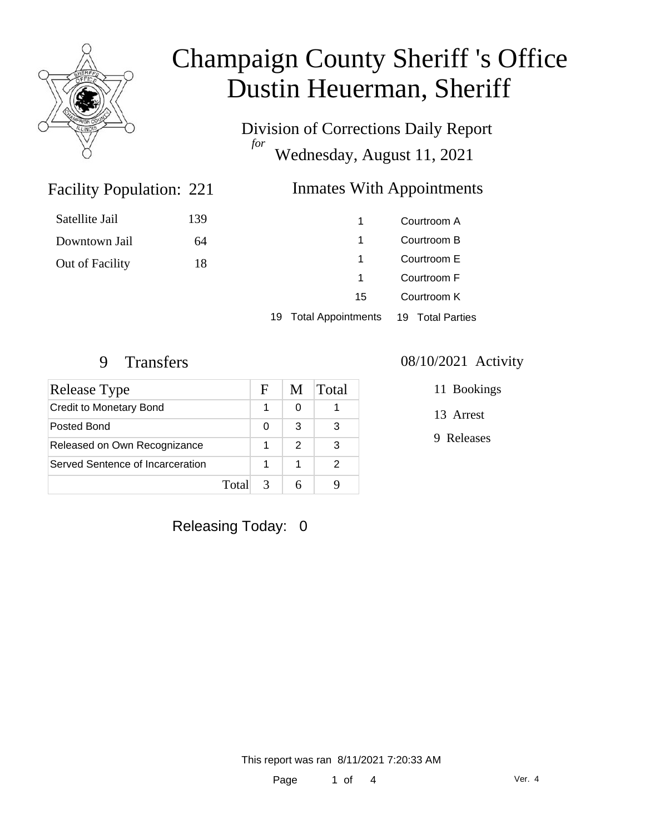

Satellite Jail

Downtown Jail

Out of Facility

# Champaign County Sheriff 's Office Dustin Heuerman, Sheriff

Division of Corrections Daily Report *for* Wednesday, August 11, 2021

### **Inmates With Appointments**

| Courtroom A | 1  | 139 |
|-------------|----|-----|
| Courtroom B | 1  | 64  |
| Courtroom E | 1  | 18  |
| Courtroom F | 1  |     |
| Courtroom K | 15 |     |
|             |    |     |

19 Total Appointments 19 Total Parties

Facility Population: 221

| Release Type                     |       | н | M | Total |
|----------------------------------|-------|---|---|-------|
| <b>Credit to Monetary Bond</b>   |       |   |   |       |
| Posted Bond                      |       | O | 3 | 3     |
| Released on Own Recognizance     |       |   | 2 | 3     |
| Served Sentence of Incarceration |       |   |   | 2     |
|                                  | Total | 3 |   |       |

#### 9 Transfers 08/10/2021 Activity

11 Bookings

13 Arrest

9 Releases

Releasing Today: 0

This report was ran 8/11/2021 7:20:33 AM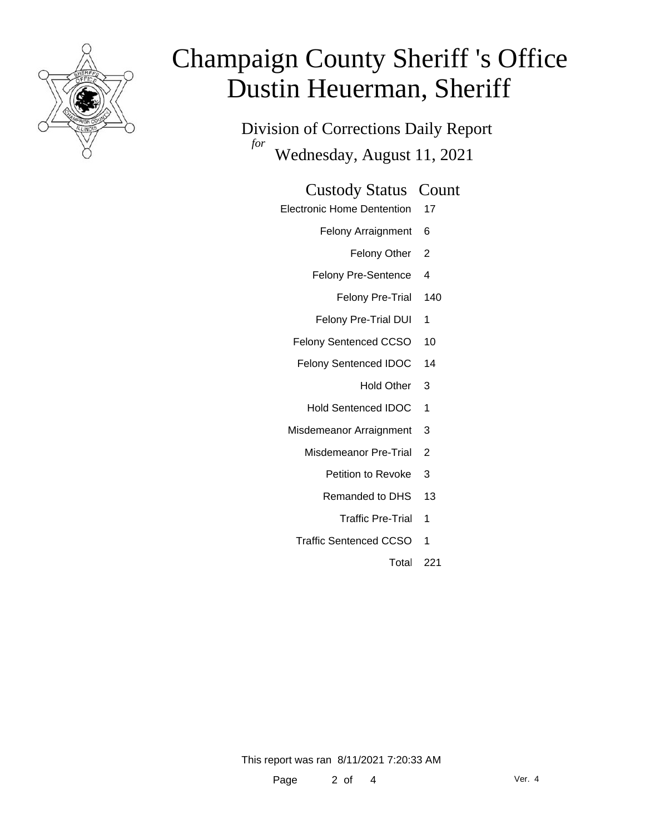

# Champaign County Sheriff 's Office Dustin Heuerman, Sheriff

Division of Corrections Daily Report *for* Wednesday, August 11, 2021

#### Custody Status Count

- Electronic Home Dentention 17
	- Felony Arraignment 6
		- Felony Other 2
	- Felony Pre-Sentence 4
		- Felony Pre-Trial 140
	- Felony Pre-Trial DUI 1
	- Felony Sentenced CCSO 10
	- Felony Sentenced IDOC 14
		- Hold Other 3
		- Hold Sentenced IDOC 1
	- Misdemeanor Arraignment 3
		- Misdemeanor Pre-Trial 2
			- Petition to Revoke 3
			- Remanded to DHS 13
				- Traffic Pre-Trial 1
		- Traffic Sentenced CCSO 1
			- Total 221

This report was ran 8/11/2021 7:20:33 AM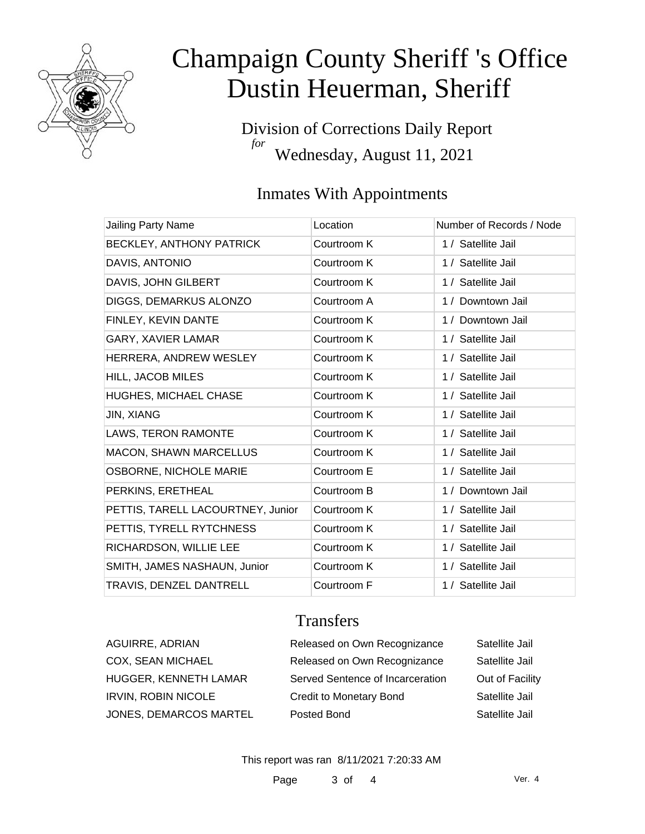

# Champaign County Sheriff 's Office Dustin Heuerman, Sheriff

Division of Corrections Daily Report *for* Wednesday, August 11, 2021

### Inmates With Appointments

| Jailing Party Name                | Location    | Number of Records / Node |
|-----------------------------------|-------------|--------------------------|
| BECKLEY, ANTHONY PATRICK          | Courtroom K | 1 / Satellite Jail       |
| DAVIS, ANTONIO                    | Courtroom K | 1 / Satellite Jail       |
| DAVIS, JOHN GILBERT               | Courtroom K | 1 / Satellite Jail       |
| DIGGS, DEMARKUS ALONZO            | Courtroom A | 1 / Downtown Jail        |
| FINLEY, KEVIN DANTE               | Courtroom K | 1 / Downtown Jail        |
| GARY, XAVIER LAMAR                | Courtroom K | 1 / Satellite Jail       |
| HERRERA, ANDREW WESLEY            | Courtroom K | 1 / Satellite Jail       |
| <b>HILL, JACOB MILES</b>          | Courtroom K | 1 / Satellite Jail       |
| <b>HUGHES, MICHAEL CHASE</b>      | Courtroom K | 1 / Satellite Jail       |
| <b>JIN, XIANG</b>                 | Courtroom K | 1 / Satellite Jail       |
| <b>LAWS, TERON RAMONTE</b>        | Courtroom K | 1 / Satellite Jail       |
| <b>MACON, SHAWN MARCELLUS</b>     | Courtroom K | 1 / Satellite Jail       |
| <b>OSBORNE, NICHOLE MARIE</b>     | Courtroom E | 1 / Satellite Jail       |
| PERKINS, ERETHEAL                 | Courtroom B | 1 / Downtown Jail        |
| PETTIS, TARELL LACOURTNEY, Junior | Courtroom K | 1 / Satellite Jail       |
| PETTIS, TYRELL RYTCHNESS          | Courtroom K | 1 / Satellite Jail       |
| RICHARDSON, WILLIE LEE            | Courtroom K | 1 / Satellite Jail       |
| SMITH, JAMES NASHAUN, Junior      | Courtroom K | 1 / Satellite Jail       |
| TRAVIS, DENZEL DANTRELL           | Courtroom F | 1 / Satellite Jail       |

### **Transfers**

| AGUIRRE, ADRIAN            | Released on Own Recognizance     | Satellite Jail  |
|----------------------------|----------------------------------|-----------------|
| COX, SEAN MICHAEL          | Released on Own Recognizance     | Satellite Jail  |
| HUGGER, KENNETH LAMAR      | Served Sentence of Incarceration | Out of Facility |
| <b>IRVIN, ROBIN NICOLE</b> | <b>Credit to Monetary Bond</b>   | Satellite Jail  |
| JONES, DEMARCOS MARTEL     | Posted Bond                      | Satellite Jail  |